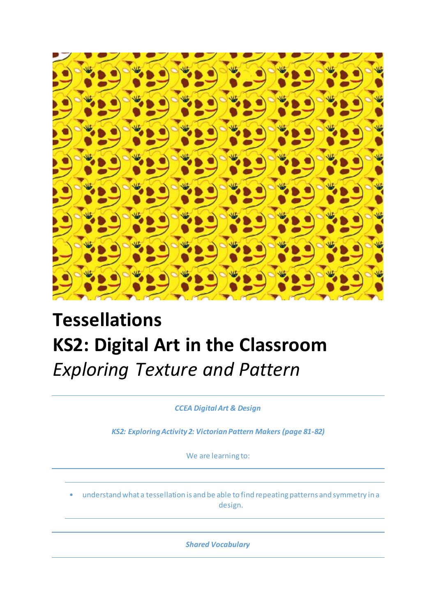

## **Tessellations KS2: Digital Art in the Classroom** *Exploring Texture and Pattern*

*CCEA Digital Art & Design*

*KS2: Exploring Activity 2: Victorian Pattern Makers (page 81-82)*

We are learning to:

• understand what a tessellation is and be able to find repeating patterns and symmetry in a design.

*Shared Vocabulary*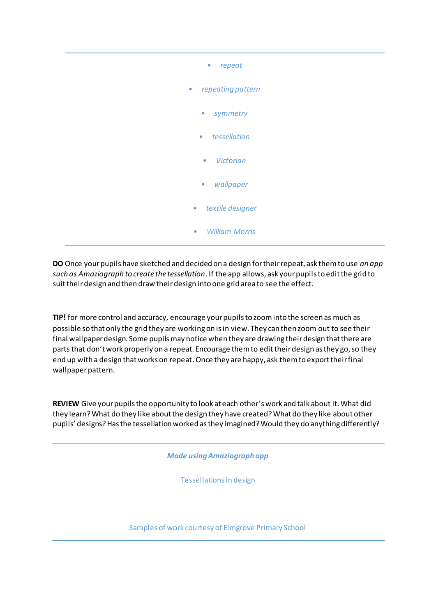

**DO** Once your pupils have sketched and decided on a design for their repeat, ask them to use *an app such as Amaziograph to create the tessellation*. If the app allows, ask your pupils to edit the grid to suit their design and then draw their design into one grid area to see the effect.

**TIP!** for more control and accuracy, encourage your pupils to zoom into the screen as much as possible so that only the grid they are working on is in view. They can then zoom out to see their final wallpaper design. Some pupils may notice when they are drawing their design that there are parts that don't work properly on a repeat. Encourage them to edit their design as they go, so they end up with a design that works on repeat. Once they are happy, ask them to export their final wallpaper pattern.

**REVIEW** Give your pupils the opportunity to look at each other's work and talk about it. What did they learn? What do they like about the design they have created? What do they like about other pupils' designs? Has the tessellation worked as they imagined? Would they do anything differently?

*Made using Amaziograph app*

Tessellations in design

Samples of work courtesy of Elmgrove Primary School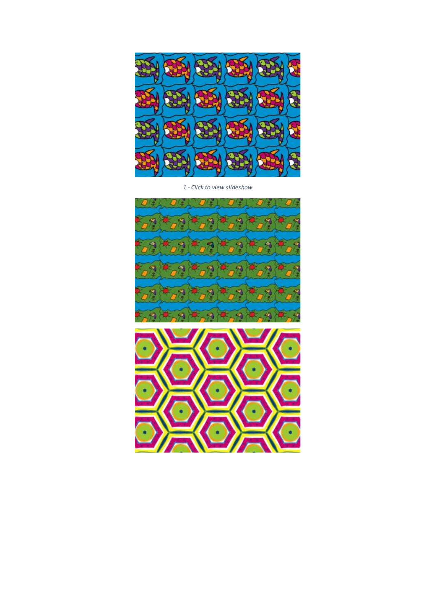

*- Click to view slideshow*



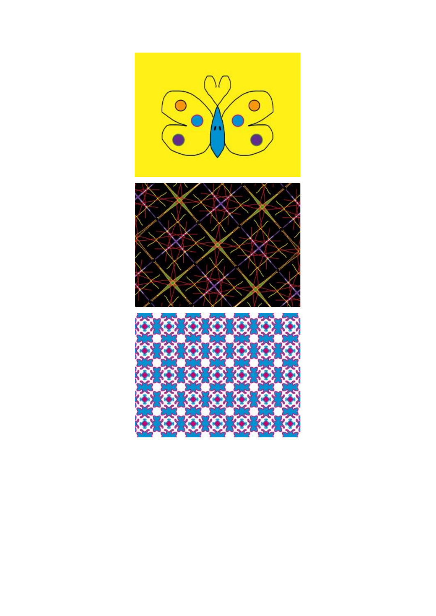